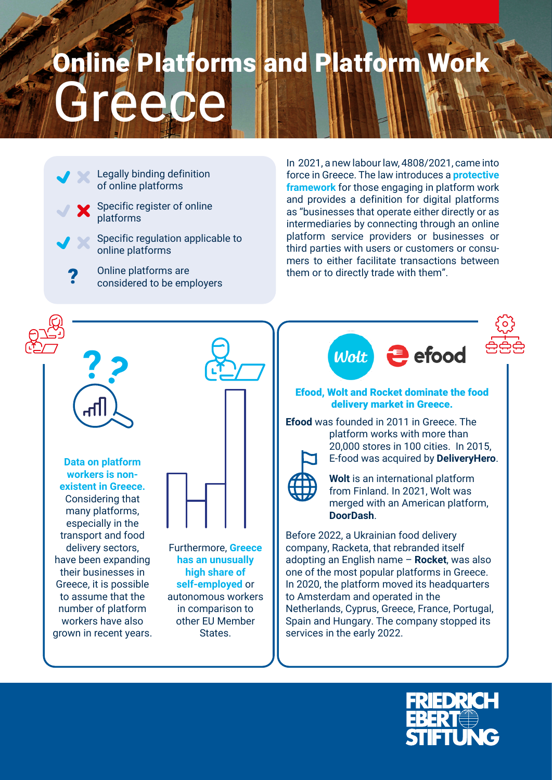## ece Online Platforms and Platform Work